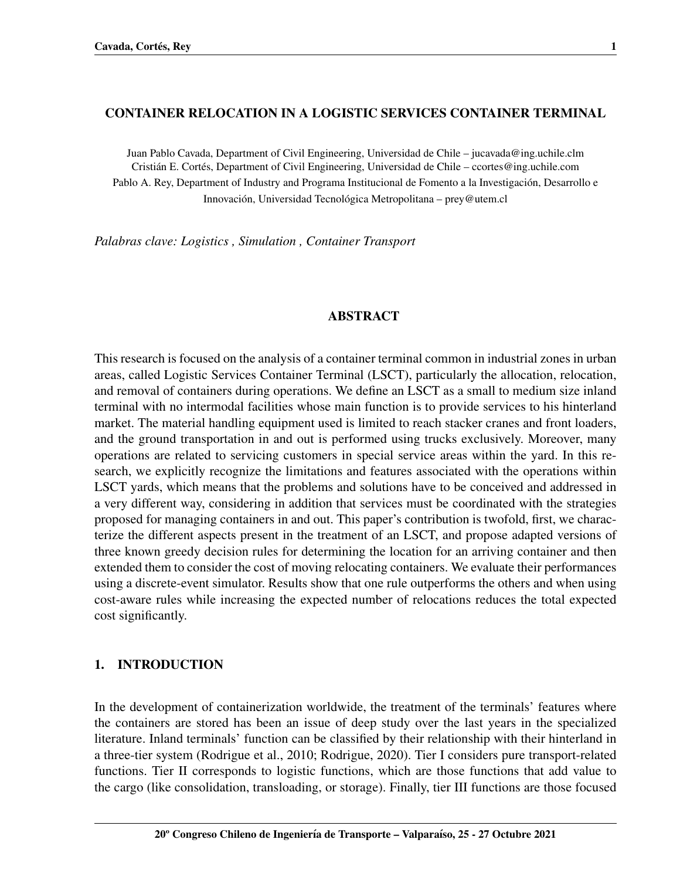#### CONTAINER RELOCATION IN A LOGISTIC SERVICES CONTAINER TERMINAL

Juan Pablo Cavada, Department of Civil Engineering, Universidad de Chile – jucavada@ing.uchile.clm Cristián E. Cortés, Department of Civil Engineering, Universidad de Chile – ccortes@ing.uchile.com Pablo A. Rey, Department of Industry and Programa Institucional de Fomento a la Investigación, Desarrollo e Innovación, Universidad Tecnológica Metropolitana – prey@utem.cl

*Palabras clave: Logistics , Simulation , Container Transport*

#### ABSTRACT

This research is focused on the analysis of a container terminal common in industrial zones in urban areas, called Logistic Services Container Terminal (LSCT), particularly the allocation, relocation, and removal of containers during operations. We define an LSCT as a small to medium size inland terminal with no intermodal facilities whose main function is to provide services to his hinterland market. The material handling equipment used is limited to reach stacker cranes and front loaders, and the ground transportation in and out is performed using trucks exclusively. Moreover, many operations are related to servicing customers in special service areas within the yard. In this research, we explicitly recognize the limitations and features associated with the operations within LSCT yards, which means that the problems and solutions have to be conceived and addressed in a very different way, considering in addition that services must be coordinated with the strategies proposed for managing containers in and out. This paper's contribution is twofold, first, we characterize the different aspects present in the treatment of an LSCT, and propose adapted versions of three known greedy decision rules for determining the location for an arriving container and then extended them to consider the cost of moving relocating containers. We evaluate their performances using a discrete-event simulator. Results show that one rule outperforms the others and when using cost-aware rules while increasing the expected number of relocations reduces the total expected cost significantly.

### 1. INTRODUCTION

In the development of containerization worldwide, the treatment of the terminals' features where the containers are stored has been an issue of deep study over the last years in the specialized literature. Inland terminals' function can be classified by their relationship with their hinterland in a three-tier system [\(Rodrigue et al., 2010;](#page-14-0) [Rodrigue, 2020\)](#page-14-1). Tier I considers pure transport-related functions. Tier II corresponds to logistic functions, which are those functions that add value to the cargo (like consolidation, transloading, or storage). Finally, tier III functions are those focused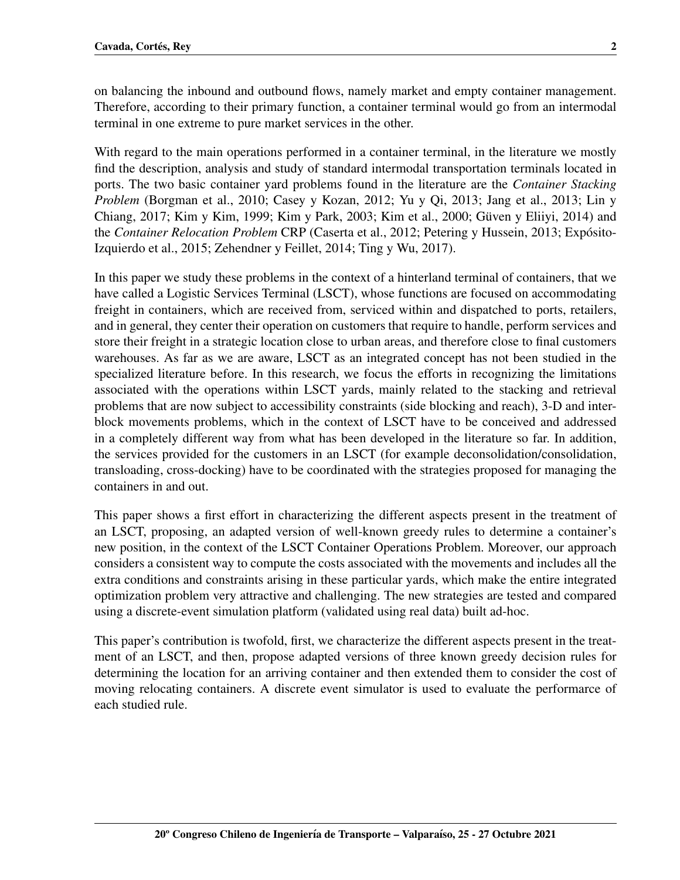on balancing the inbound and outbound flows, namely market and empty container management. Therefore, according to their primary function, a container terminal would go from an intermodal terminal in one extreme to pure market services in the other.

With regard to the main operations performed in a container terminal, in the literature we mostly find the description, analysis and study of standard intermodal transportation terminals located in ports. The two basic container yard problems found in the literature are the *Container Stacking Problem* [\(Borgman et al., 2010;](#page-12-0) [Casey y Kozan, 2012;](#page-12-1) [Yu y Qi, 2013;](#page-14-2) [Jang et al., 2013;](#page-13-0) [Lin y](#page-13-1) [Chiang, 2017;](#page-13-1) [Kim y Kim, 1999;](#page-13-2) [Kim y Park, 2003;](#page-13-3) [Kim et al., 2000;](#page-13-4) [Guven y Eliiyi, 2014\)](#page-13-5) and ¨ the *Container Relocation Problem* CRP [\(Caserta et al., 2012;](#page-12-2) [Petering y Hussein, 2013;](#page-14-3) [Exposito-](#page-12-3) ´ [Izquierdo et al., 2015;](#page-12-3) [Zehendner y Feillet, 2014;](#page-14-4) [Ting y Wu, 2017\)](#page-14-5).

In this paper we study these problems in the context of a hinterland terminal of containers, that we have called a Logistic Services Terminal (LSCT), whose functions are focused on accommodating freight in containers, which are received from, serviced within and dispatched to ports, retailers, and in general, they center their operation on customers that require to handle, perform services and store their freight in a strategic location close to urban areas, and therefore close to final customers warehouses. As far as we are aware, LSCT as an integrated concept has not been studied in the specialized literature before. In this research, we focus the efforts in recognizing the limitations associated with the operations within LSCT yards, mainly related to the stacking and retrieval problems that are now subject to accessibility constraints (side blocking and reach), 3-D and interblock movements problems, which in the context of LSCT have to be conceived and addressed in a completely different way from what has been developed in the literature so far. In addition, the services provided for the customers in an LSCT (for example deconsolidation/consolidation, transloading, cross-docking) have to be coordinated with the strategies proposed for managing the containers in and out.

This paper shows a first effort in characterizing the different aspects present in the treatment of an LSCT, proposing, an adapted version of well-known greedy rules to determine a container's new position, in the context of the LSCT Container Operations Problem. Moreover, our approach considers a consistent way to compute the costs associated with the movements and includes all the extra conditions and constraints arising in these particular yards, which make the entire integrated optimization problem very attractive and challenging. The new strategies are tested and compared using a discrete-event simulation platform (validated using real data) built ad-hoc.

This paper's contribution is twofold, first, we characterize the different aspects present in the treatment of an LSCT, and then, propose adapted versions of three known greedy decision rules for determining the location for an arriving container and then extended them to consider the cost of moving relocating containers. A discrete event simulator is used to evaluate the performarce of each studied rule.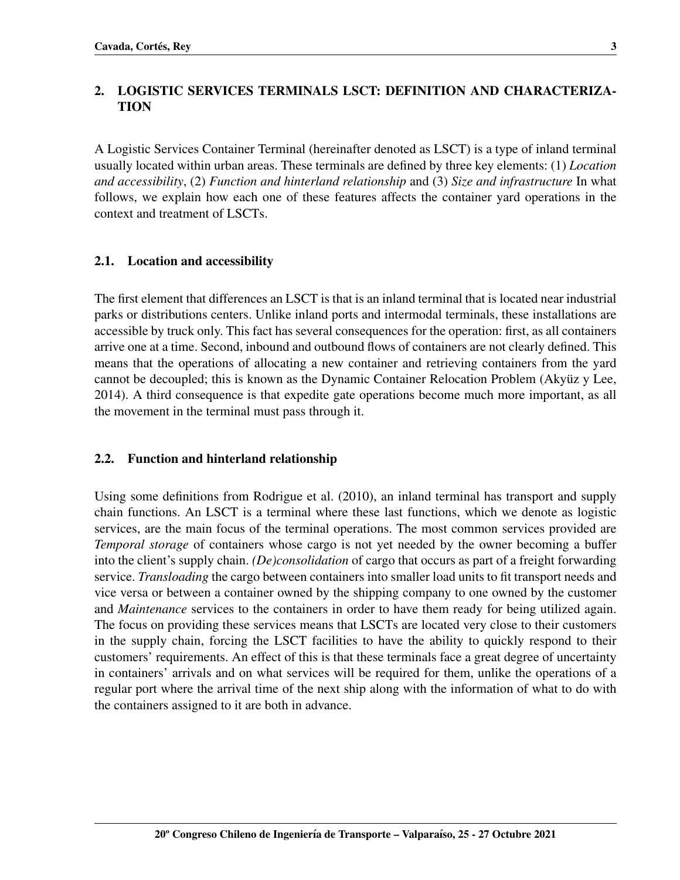## 2. LOGISTIC SERVICES TERMINALS LSCT: DEFINITION AND CHARACTERIZA-TION

A Logistic Services Container Terminal (hereinafter denoted as LSCT) is a type of inland terminal usually located within urban areas. These terminals are defined by three key elements: (1) *Location and accessibility*, (2) *Function and hinterland relationship* and (3) *Size and infrastructure* In what follows, we explain how each one of these features affects the container yard operations in the context and treatment of LSCTs.

### 2.1. Location and accessibility

The first element that differences an LSCT is that is an inland terminal that is located near industrial parks or distributions centers. Unlike inland ports and intermodal terminals, these installations are accessible by truck only. This fact has several consequences for the operation: first, as all containers arrive one at a time. Second, inbound and outbound flows of containers are not clearly defined. This means that the operations of allocating a new container and retrieving containers from the yard cannot be decoupled; this is known as the Dynamic Container Relocation Problem (Akyüz y Lee, [2014\)](#page-12-4). A third consequence is that expedite gate operations become much more important, as all the movement in the terminal must pass through it.

### 2.2. Function and hinterland relationship

Using some definitions from [Rodrigue et al.](#page-14-0) [\(2010\)](#page-14-0), an inland terminal has transport and supply chain functions. An LSCT is a terminal where these last functions, which we denote as logistic services, are the main focus of the terminal operations. The most common services provided are *Temporal storage* of containers whose cargo is not yet needed by the owner becoming a buffer into the client's supply chain. *(De)consolidation* of cargo that occurs as part of a freight forwarding service. *Transloading* the cargo between containers into smaller load units to fit transport needs and vice versa or between a container owned by the shipping company to one owned by the customer and *Maintenance* services to the containers in order to have them ready for being utilized again. The focus on providing these services means that LSCTs are located very close to their customers in the supply chain, forcing the LSCT facilities to have the ability to quickly respond to their customers' requirements. An effect of this is that these terminals face a great degree of uncertainty in containers' arrivals and on what services will be required for them, unlike the operations of a regular port where the arrival time of the next ship along with the information of what to do with the containers assigned to it are both in advance.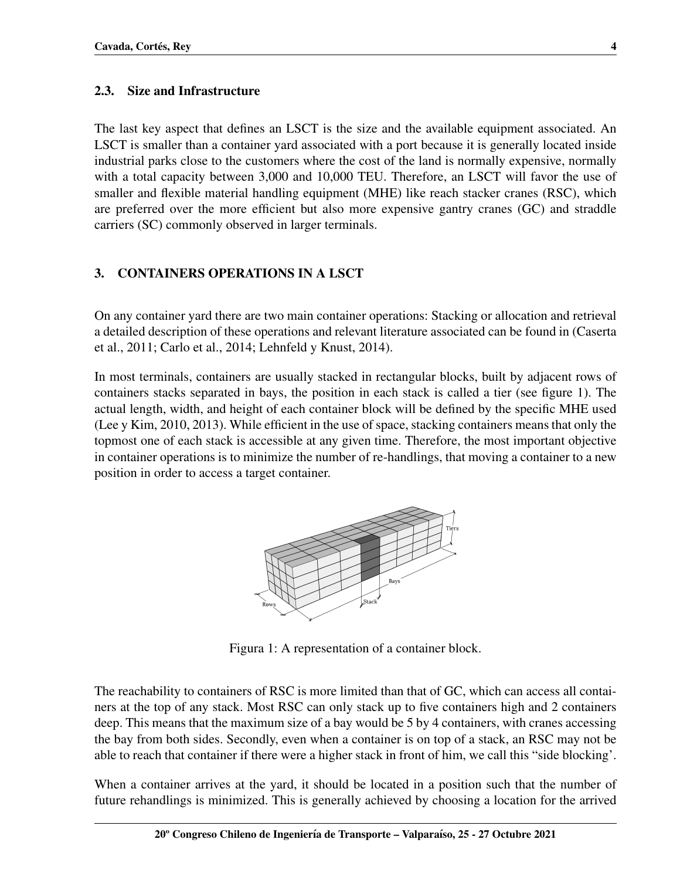### 2.3. Size and Infrastructure

The last key aspect that defines an LSCT is the size and the available equipment associated. An LSCT is smaller than a container yard associated with a port because it is generally located inside industrial parks close to the customers where the cost of the land is normally expensive, normally with a total capacity between 3,000 and 10,000 TEU. Therefore, an LSCT will favor the use of smaller and flexible material handling equipment (MHE) like reach stacker cranes (RSC), which are preferred over the more efficient but also more expensive gantry cranes (GC) and straddle carriers (SC) commonly observed in larger terminals.

## 3. CONTAINERS OPERATIONS IN A LSCT

On any container yard there are two main container operations: Stacking or allocation and retrieval a detailed description of these operations and relevant literature associated can be found in [\(Caserta](#page-12-5) [et al., 2011;](#page-12-5) [Carlo et al., 2014;](#page-12-6) [Lehnfeld y Knust, 2014\)](#page-13-6).

In most terminals, containers are usually stacked in rectangular blocks, built by adjacent rows of containers stacks separated in bays, the position in each stack is called a tier (see figure [1\)](#page-3-0). The actual length, width, and height of each container block will be defined by the specific MHE used [\(Lee y Kim, 2010,](#page-13-7) [2013\)](#page-13-8). While efficient in the use of space, stacking containers means that only the topmost one of each stack is accessible at any given time. Therefore, the most important objective in container operations is to minimize the number of re-handlings, that moving a container to a new position in order to access a target container.



<span id="page-3-0"></span>Figura 1: A representation of a container block.

The reachability to containers of RSC is more limited than that of GC, which can access all containers at the top of any stack. Most RSC can only stack up to five containers high and 2 containers deep. This means that the maximum size of a bay would be 5 by 4 containers, with cranes accessing the bay from both sides. Secondly, even when a container is on top of a stack, an RSC may not be able to reach that container if there were a higher stack in front of him, we call this "side blocking'.

When a container arrives at the yard, it should be located in a position such that the number of future rehandlings is minimized. This is generally achieved by choosing a location for the arrived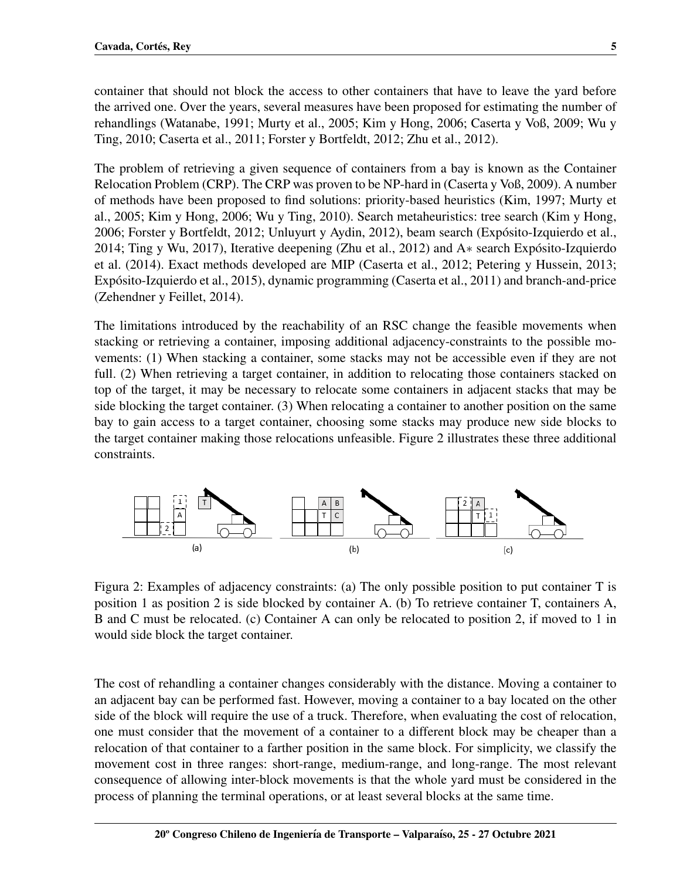container that should not block the access to other containers that have to leave the yard before the arrived one. Over the years, several measures have been proposed for estimating the number of rehandlings [\(Watanabe, 1991;](#page-14-6) [Murty et al., 2005;](#page-14-7) [Kim y Hong, 2006;](#page-13-9) [Caserta y Voß, 2009;](#page-12-7) [Wu y](#page-14-8) [Ting, 2010;](#page-14-8) [Caserta et al., 2011;](#page-12-5) [Forster y Bortfeldt, 2012;](#page-13-10) [Zhu et al., 2012\)](#page-14-9).

The problem of retrieving a given sequence of containers from a bay is known as the Container Relocation Problem (CRP). The CRP was proven to be NP-hard in [\(Caserta y Voß, 2009\)](#page-12-7). A number of methods have been proposed to find solutions: priority-based heuristics [\(Kim, 1997;](#page-13-11) [Murty et](#page-14-7) [al., 2005;](#page-14-7) [Kim y Hong, 2006;](#page-13-9) [Wu y Ting, 2010\)](#page-14-8). Search metaheuristics: tree search [\(Kim y Hong,](#page-13-9) [2006;](#page-13-9) [Forster y Bortfeldt, 2012;](#page-13-10) [Unluyurt y Aydin, 2012\)](#page-14-10), beam search [\(Exposito-Izquierdo et al.,](#page-12-8) ´ [2014;](#page-12-8) [Ting y Wu, 2017\)](#page-14-5), Iterative deepening [\(Zhu et al., 2012\)](#page-14-9) and A∗ search [Exposito-Izquierdo](#page-12-8) ´ [et al.](#page-12-8) [\(2014\)](#page-12-8). Exact methods developed are MIP [\(Caserta et al., 2012;](#page-12-2) [Petering y Hussein, 2013;](#page-14-3) Expósito-Izquierdo et al., 2015), dynamic programming [\(Caserta et al., 2011\)](#page-12-5) and branch-and-price [\(Zehendner y Feillet, 2014\)](#page-14-4).

The limitations introduced by the reachability of an RSC change the feasible movements when stacking or retrieving a container, imposing additional adjacency-constraints to the possible movements: (1) When stacking a container, some stacks may not be accessible even if they are not full. (2) When retrieving a target container, in addition to relocating those containers stacked on top of the target, it may be necessary to relocate some containers in adjacent stacks that may be side blocking the target container. (3) When relocating a container to another position on the same bay to gain access to a target container, choosing some stacks may produce new side blocks to the target container making those relocations unfeasible. Figure [2](#page-4-0) illustrates these three additional constraints.



<span id="page-4-0"></span>Figura 2: Examples of adjacency constraints: (a) The only possible position to put container T is position 1 as position 2 is side blocked by container A. (b) To retrieve container T, containers A, B and C must be relocated. (c) Container A can only be relocated to position 2, if moved to 1 in would side block the target container.

The cost of rehandling a container changes considerably with the distance. Moving a container to an adjacent bay can be performed fast. However, moving a container to a bay located on the other side of the block will require the use of a truck. Therefore, when evaluating the cost of relocation, one must consider that the movement of a container to a different block may be cheaper than a relocation of that container to a farther position in the same block. For simplicity, we classify the movement cost in three ranges: short-range, medium-range, and long-range. The most relevant consequence of allowing inter-block movements is that the whole yard must be considered in the process of planning the terminal operations, or at least several blocks at the same time.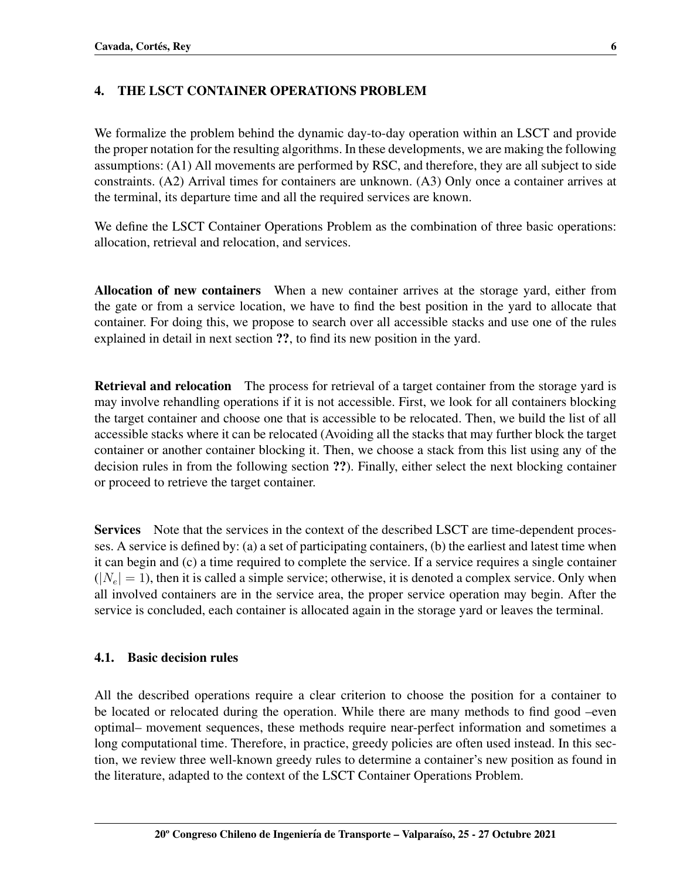## 4. THE LSCT CONTAINER OPERATIONS PROBLEM

We formalize the problem behind the dynamic day-to-day operation within an LSCT and provide the proper notation for the resulting algorithms. In these developments, we are making the following assumptions: (A1) All movements are performed by RSC, and therefore, they are all subject to side constraints. (A2) Arrival times for containers are unknown. (A3) Only once a container arrives at the terminal, its departure time and all the required services are known.

We define the LSCT Container Operations Problem as the combination of three basic operations: allocation, retrieval and relocation, and services.

Allocation of new containers When a new container arrives at the storage yard, either from the gate or from a service location, we have to find the best position in the yard to allocate that container. For doing this, we propose to search over all accessible stacks and use one of the rules explained in detail in next section ??, to find its new position in the yard.

Retrieval and relocation The process for retrieval of a target container from the storage yard is may involve rehandling operations if it is not accessible. First, we look for all containers blocking the target container and choose one that is accessible to be relocated. Then, we build the list of all accessible stacks where it can be relocated (Avoiding all the stacks that may further block the target container or another container blocking it. Then, we choose a stack from this list using any of the decision rules in from the following section ??). Finally, either select the next blocking container or proceed to retrieve the target container.

Services Note that the services in the context of the described LSCT are time-dependent processes. A service is defined by: (a) a set of participating containers, (b) the earliest and latest time when it can begin and (c) a time required to complete the service. If a service requires a single container  $(|N_e| = 1)$ , then it is called a simple service; otherwise, it is denoted a complex service. Only when all involved containers are in the service area, the proper service operation may begin. After the service is concluded, each container is allocated again in the storage yard or leaves the terminal.

### 4.1. Basic decision rules

All the described operations require a clear criterion to choose the position for a container to be located or relocated during the operation. While there are many methods to find good –even optimal– movement sequences, these methods require near-perfect information and sometimes a long computational time. Therefore, in practice, greedy policies are often used instead. In this section, we review three well-known greedy rules to determine a container's new position as found in the literature, adapted to the context of the LSCT Container Operations Problem.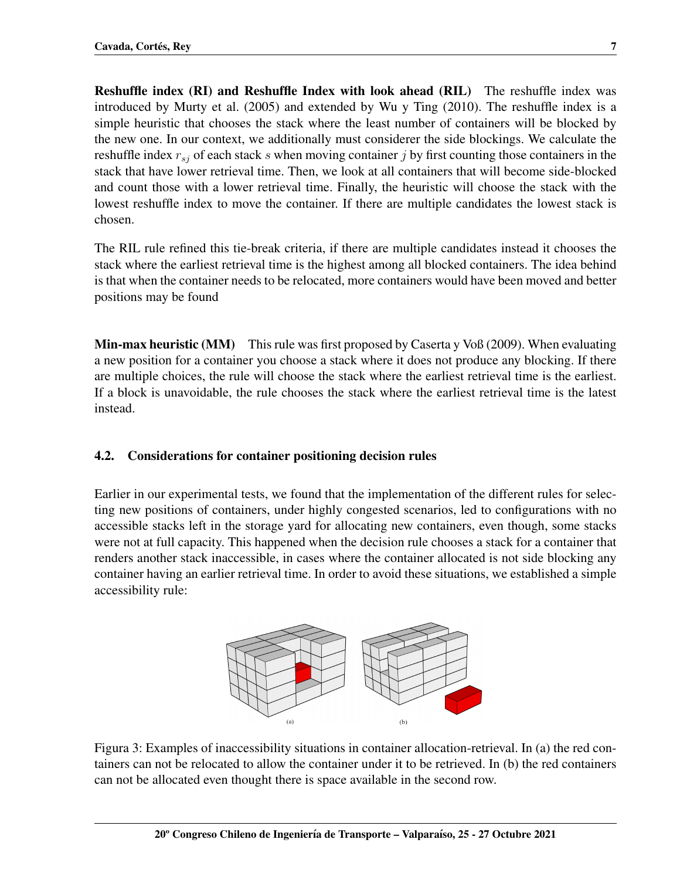Reshuffle index (RI) and Reshuffle Index with look ahead (RIL) The reshuffle index was introduced by [Murty et al.](#page-14-7) [\(2005\)](#page-14-7) and extended by [Wu y Ting](#page-14-8) [\(2010\)](#page-14-8). The reshuffle index is a simple heuristic that chooses the stack where the least number of containers will be blocked by the new one. In our context, we additionally must considerer the side blockings. We calculate the reshuffle index  $r_{si}$  of each stack s when moving container j by first counting those containers in the stack that have lower retrieval time. Then, we look at all containers that will become side-blocked and count those with a lower retrieval time. Finally, the heuristic will choose the stack with the lowest reshuffle index to move the container. If there are multiple candidates the lowest stack is chosen.

The RIL rule refined this tie-break criteria, if there are multiple candidates instead it chooses the stack where the earliest retrieval time is the highest among all blocked containers. The idea behind is that when the container needs to be relocated, more containers would have been moved and better positions may be found

Min-max heuristic (MM) This rule was first proposed by [Caserta y Voß](#page-12-7) [\(2009\)](#page-12-7). When evaluating a new position for a container you choose a stack where it does not produce any blocking. If there are multiple choices, the rule will choose the stack where the earliest retrieval time is the earliest. If a block is unavoidable, the rule chooses the stack where the earliest retrieval time is the latest instead.

## 4.2. Considerations for container positioning decision rules

Earlier in our experimental tests, we found that the implementation of the different rules for selecting new positions of containers, under highly congested scenarios, led to configurations with no accessible stacks left in the storage yard for allocating new containers, even though, some stacks were not at full capacity. This happened when the decision rule chooses a stack for a container that renders another stack inaccessible, in cases where the container allocated is not side blocking any container having an earlier retrieval time. In order to avoid these situations, we established a simple accessibility rule:



Figura 3: Examples of inaccessibility situations in container allocation-retrieval. In (a) the red containers can not be relocated to allow the container under it to be retrieved. In (b) the red containers can not be allocated even thought there is space available in the second row.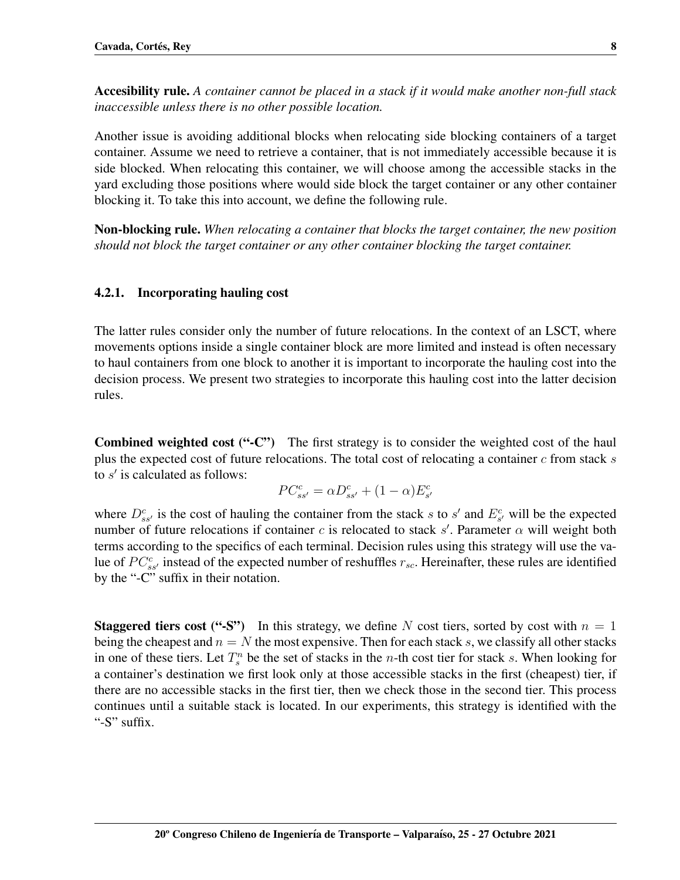Accesibility rule. *A container cannot be placed in a stack if it would make another non-full stack inaccessible unless there is no other possible location.*

Another issue is avoiding additional blocks when relocating side blocking containers of a target container. Assume we need to retrieve a container, that is not immediately accessible because it is side blocked. When relocating this container, we will choose among the accessible stacks in the yard excluding those positions where would side block the target container or any other container blocking it. To take this into account, we define the following rule.

Non-blocking rule. *When relocating a container that blocks the target container, the new position should not block the target container or any other container blocking the target container.*

## 4.2.1. Incorporating hauling cost

The latter rules consider only the number of future relocations. In the context of an LSCT, where movements options inside a single container block are more limited and instead is often necessary to haul containers from one block to another it is important to incorporate the hauling cost into the decision process. We present two strategies to incorporate this hauling cost into the latter decision rules.

Combined weighted cost ("-C") The first strategy is to consider the weighted cost of the haul plus the expected cost of future relocations. The total cost of relocating a container  $c$  from stack  $s$ to  $s'$  is calculated as follows:

$$
PC_{ss'}^c = \alpha D_{ss'}^c + (1 - \alpha) E_{s'}^c
$$

where  $D_{ss}^c$  is the cost of hauling the container from the stack s to s' and  $E_{s'}^c$  will be the expected number of future relocations if container c is relocated to stack s'. Parameter  $\alpha$  will weight both terms according to the specifics of each terminal. Decision rules using this strategy will use the value of  $PC_{ss}^{c}$  instead of the expected number of reshuffles  $r_{sc}$ . Hereinafter, these rules are identified by the "-C" suffix in their notation.

**Staggered tiers cost ("-S")** In this strategy, we define N cost tiers, sorted by cost with  $n = 1$ being the cheapest and  $n = N$  the most expensive. Then for each stack s, we classify all other stacks in one of these tiers. Let  $T_s^n$  be the set of stacks in the *n*-th cost tier for stack s. When looking for a container's destination we first look only at those accessible stacks in the first (cheapest) tier, if there are no accessible stacks in the first tier, then we check those in the second tier. This process continues until a suitable stack is located. In our experiments, this strategy is identified with the "-S" suffix.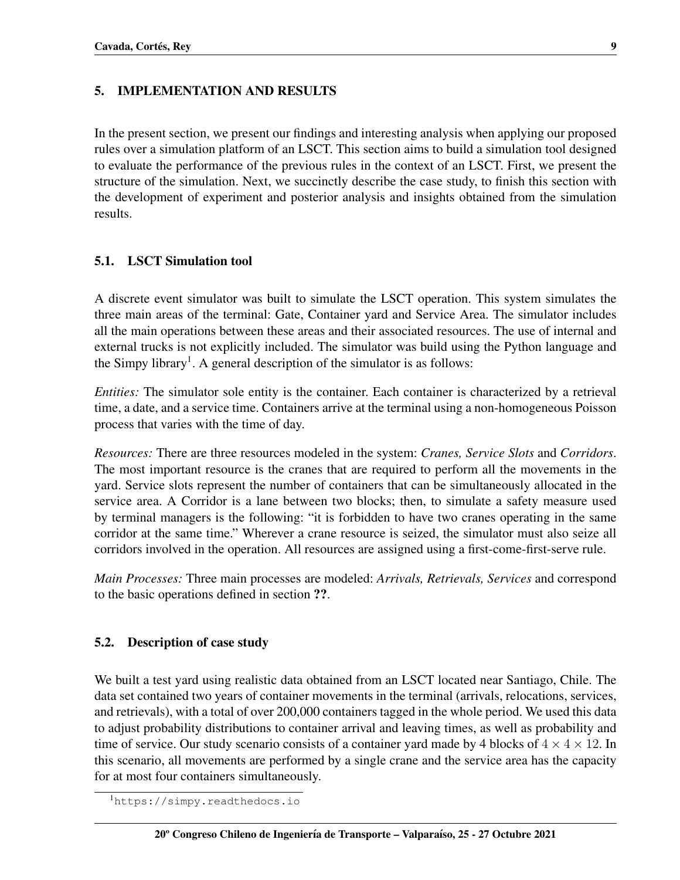### 5. IMPLEMENTATION AND RESULTS

In the present section, we present our findings and interesting analysis when applying our proposed rules over a simulation platform of an LSCT. This section aims to build a simulation tool designed to evaluate the performance of the previous rules in the context of an LSCT. First, we present the structure of the simulation. Next, we succinctly describe the case study, to finish this section with the development of experiment and posterior analysis and insights obtained from the simulation results.

### 5.1. LSCT Simulation tool

A discrete event simulator was built to simulate the LSCT operation. This system simulates the three main areas of the terminal: Gate, Container yard and Service Area. The simulator includes all the main operations between these areas and their associated resources. The use of internal and external trucks is not explicitly included. The simulator was build using the Python language and the Simpy library<sup>[1](#page-8-0)</sup>. A general description of the simulator is as follows:

*Entities:* The simulator sole entity is the container. Each container is characterized by a retrieval time, a date, and a service time. Containers arrive at the terminal using a non-homogeneous Poisson process that varies with the time of day.

*Resources:* There are three resources modeled in the system: *Cranes, Service Slots* and *Corridors*. The most important resource is the cranes that are required to perform all the movements in the yard. Service slots represent the number of containers that can be simultaneously allocated in the service area. A Corridor is a lane between two blocks; then, to simulate a safety measure used by terminal managers is the following: "it is forbidden to have two cranes operating in the same corridor at the same time." Wherever a crane resource is seized, the simulator must also seize all corridors involved in the operation. All resources are assigned using a first-come-first-serve rule.

*Main Processes:* Three main processes are modeled: *Arrivals, Retrievals, Services* and correspond to the basic operations defined in section ??.

### 5.2. Description of case study

We built a test yard using realistic data obtained from an LSCT located near Santiago, Chile. The data set contained two years of container movements in the terminal (arrivals, relocations, services, and retrievals), with a total of over 200,000 containers tagged in the whole period. We used this data to adjust probability distributions to container arrival and leaving times, as well as probability and time of service. Our study scenario consists of a container yard made by 4 blocks of  $4 \times 4 \times 12$ . In this scenario, all movements are performed by a single crane and the service area has the capacity for at most four containers simultaneously.

<span id="page-8-0"></span><sup>1</sup><https://simpy.readthedocs.io>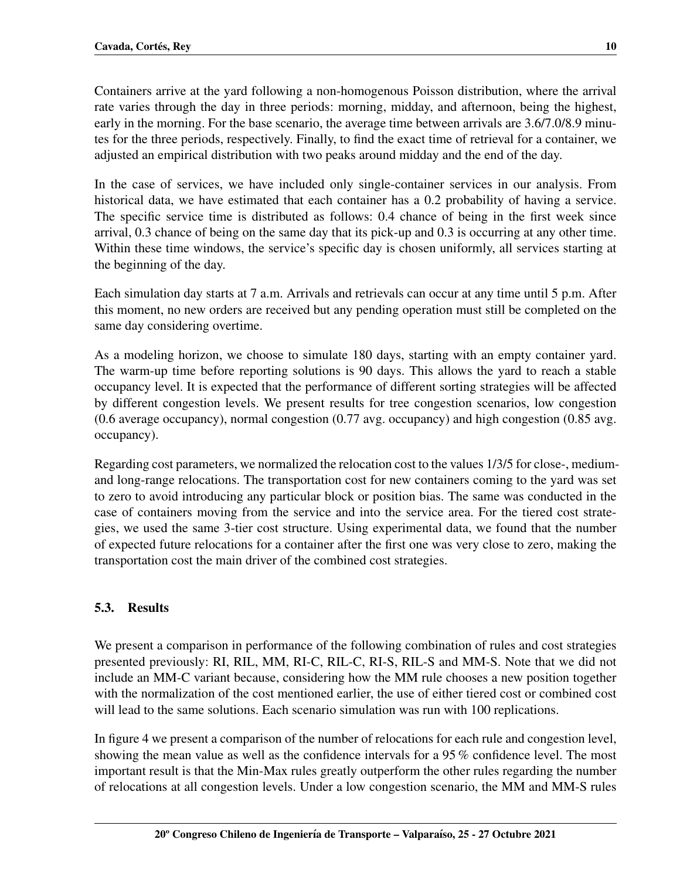Containers arrive at the yard following a non-homogenous Poisson distribution, where the arrival rate varies through the day in three periods: morning, midday, and afternoon, being the highest, early in the morning. For the base scenario, the average time between arrivals are 3.6/7.0/8.9 minutes for the three periods, respectively. Finally, to find the exact time of retrieval for a container, we adjusted an empirical distribution with two peaks around midday and the end of the day.

In the case of services, we have included only single-container services in our analysis. From historical data, we have estimated that each container has a 0.2 probability of having a service. The specific service time is distributed as follows: 0.4 chance of being in the first week since arrival, 0.3 chance of being on the same day that its pick-up and 0.3 is occurring at any other time. Within these time windows, the service's specific day is chosen uniformly, all services starting at the beginning of the day.

Each simulation day starts at 7 a.m. Arrivals and retrievals can occur at any time until 5 p.m. After this moment, no new orders are received but any pending operation must still be completed on the same day considering overtime.

As a modeling horizon, we choose to simulate 180 days, starting with an empty container yard. The warm-up time before reporting solutions is 90 days. This allows the yard to reach a stable occupancy level. It is expected that the performance of different sorting strategies will be affected by different congestion levels. We present results for tree congestion scenarios, low congestion (0.6 average occupancy), normal congestion (0.77 avg. occupancy) and high congestion (0.85 avg. occupancy).

Regarding cost parameters, we normalized the relocation cost to the values 1/3/5 for close-, mediumand long-range relocations. The transportation cost for new containers coming to the yard was set to zero to avoid introducing any particular block or position bias. The same was conducted in the case of containers moving from the service and into the service area. For the tiered cost strategies, we used the same 3-tier cost structure. Using experimental data, we found that the number of expected future relocations for a container after the first one was very close to zero, making the transportation cost the main driver of the combined cost strategies.

# 5.3. Results

We present a comparison in performance of the following combination of rules and cost strategies presented previously: RI, RIL, MM, RI-C, RIL-C, RI-S, RIL-S and MM-S. Note that we did not include an MM-C variant because, considering how the MM rule chooses a new position together with the normalization of the cost mentioned earlier, the use of either tiered cost or combined cost will lead to the same solutions. Each scenario simulation was run with 100 replications.

In figure [4](#page-10-0) we present a comparison of the number of relocations for each rule and congestion level, showing the mean value as well as the confidence intervals for a 95 % confidence level. The most important result is that the Min-Max rules greatly outperform the other rules regarding the number of relocations at all congestion levels. Under a low congestion scenario, the MM and MM-S rules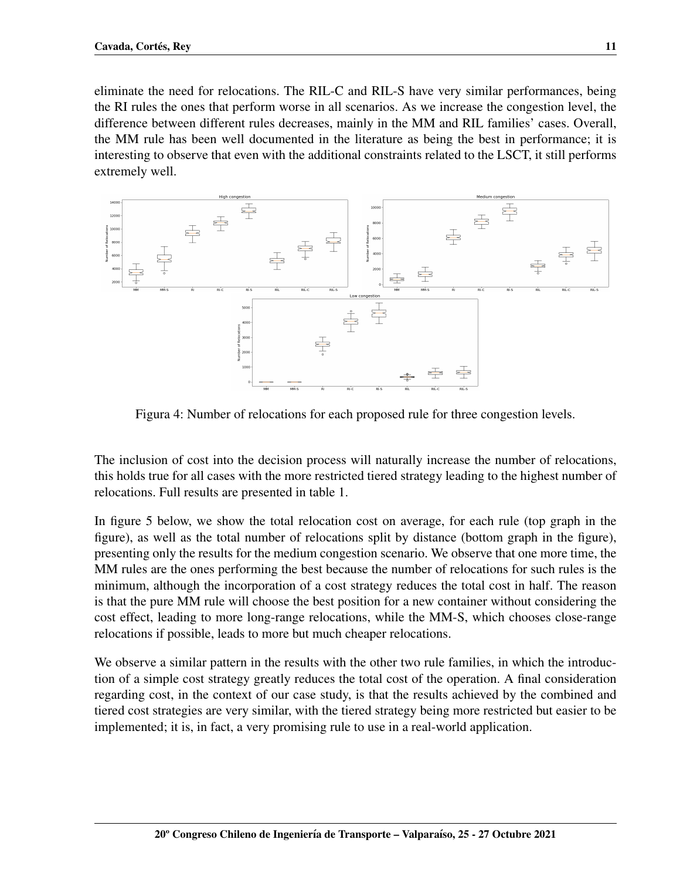eliminate the need for relocations. The RIL-C and RIL-S have very similar performances, being the RI rules the ones that perform worse in all scenarios. As we increase the congestion level, the difference between different rules decreases, mainly in the MM and RIL families' cases. Overall, the MM rule has been well documented in the literature as being the best in performance; it is interesting to observe that even with the additional constraints related to the LSCT, it still performs extremely well.



<span id="page-10-0"></span>Figura 4: Number of relocations for each proposed rule for three congestion levels.

The inclusion of cost into the decision process will naturally increase the number of relocations, this holds true for all cases with the more restricted tiered strategy leading to the highest number of relocations. Full results are presented in table [1.](#page-11-0)

In figure [5](#page-11-1) below, we show the total relocation cost on average, for each rule (top graph in the figure), as well as the total number of relocations split by distance (bottom graph in the figure), presenting only the results for the medium congestion scenario. We observe that one more time, the MM rules are the ones performing the best because the number of relocations for such rules is the minimum, although the incorporation of a cost strategy reduces the total cost in half. The reason is that the pure MM rule will choose the best position for a new container without considering the cost effect, leading to more long-range relocations, while the MM-S, which chooses close-range relocations if possible, leads to more but much cheaper relocations.

We observe a similar pattern in the results with the other two rule families, in which the introduction of a simple cost strategy greatly reduces the total cost of the operation. A final consideration regarding cost, in the context of our case study, is that the results achieved by the combined and tiered cost strategies are very similar, with the tiered strategy being more restricted but easier to be implemented; it is, in fact, a very promising rule to use in a real-world application.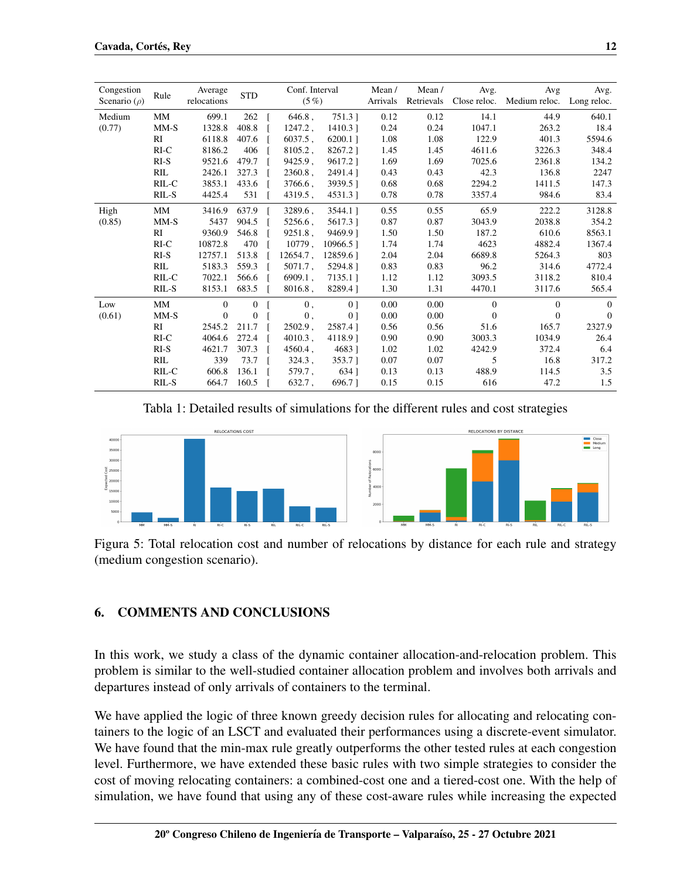| Congestion<br>Scenario ( $\rho$ ) | Rule   | Average<br>relocations | <b>STD</b>     | Conf. Interval<br>$(5\%)$ |                | Mean/<br>Arrivals | Mean/<br>Retrievals | Avg.<br>Close reloc. | Avg<br>Medium reloc. | Avg.<br>Long reloc. |
|-----------------------------------|--------|------------------------|----------------|---------------------------|----------------|-------------------|---------------------|----------------------|----------------------|---------------------|
| Medium                            | MM     | 699.1                  | 262            | $646.8$ ,                 | 751.3          | 0.12              | 0.12                | 14.1                 | 44.9                 | 640.1               |
| (0.77)                            | $MM-S$ | 1328.8                 | 408.8          | 1247.2,                   | $1410.3$ ]     | 0.24              | 0.24                | 1047.1               | 263.2                | 18.4                |
|                                   | RI     | 6118.8                 | 407.6          | $6037.5$ .                | 6200.11        | 1.08              | 1.08                | 122.9                | 401.3                | 5594.6              |
|                                   | $RI-C$ | 8186.2                 | 406            | $8105.2$ ,                | 8267.21        | 1.45              | 1.45                | 4611.6               | 3226.3               | 348.4               |
|                                   | $RI-S$ | 9521.6                 | 479.7          | 9425.9,                   | 9617.21        | 1.69              | 1.69                | 7025.6               | 2361.8               | 134.2               |
|                                   | RIL    | 2426.1                 | 327.3          | $2360.8$ ,                | 2491.41        | 0.43              | 0.43                | 42.3                 | 136.8                | 2247                |
|                                   | RIL-C  | 3853.1                 | 433.6          | 3766.6,                   | 3939.51        | 0.68              | 0.68                | 2294.2               | 1411.5               | 147.3               |
|                                   | RIL-S  | 4425.4                 | 531            | 4319.5,                   | 4531.3         | 0.78              | 0.78                | 3357.4               | 984.6                | 83.4                |
| High                              | MM     | 3416.9                 | 637.9          | 3289.6,                   | 3544.1]        | 0.55              | 0.55                | 65.9                 | 222.2                | 3128.8              |
| (0.85)                            | $MM-S$ | 5437                   | 904.5          | 5256.6,                   | 5617.31        | 0.87              | 0.87                | 3043.9               | 2038.8               | 354.2               |
|                                   | RI     | 9360.9                 | 546.8          | 9251.8,                   | 9469.91        | 1.50              | 1.50                | 187.2                | 610.6                | 8563.1              |
|                                   | $RI-C$ | 10872.8                | 470            | 10779.                    | 10966.51       | 1.74              | 1.74                | 4623                 | 4882.4               | 1367.4              |
|                                   | $RI-S$ | 12757.1                | 513.8          | $12654.7$ .               | 12859.61       | 2.04              | 2.04                | 6689.8               | 5264.3               | 803                 |
|                                   | RIL    | 5183.3                 | 559.3          | $5071.7$ ,                | 5294.81        | 0.83              | 0.83                | 96.2                 | 314.6                | 4772.4              |
|                                   | RIL-C  | 7022.1                 | 566.6          | $6909.1$ ,                | 7135.11        | 1.12              | 1.12                | 3093.5               | 3118.2               | 810.4               |
|                                   | RIL-S  | 8153.1                 | 683.5          | $8016.8$ ,                | 8289.41        | 1.30              | 1.31                | 4470.1               | 3117.6               | 565.4               |
| Low                               | MM     | $\mathbf{0}$           | $\overline{0}$ | 0,                        | 0 <sup>1</sup> | 0.00              | 0.00                | $\mathbf{0}$         | $\overline{0}$       | $\mathbf{0}$        |
| (0.61)                            | $MM-S$ | $\mathbf{0}$           | $\overline{0}$ | 0,                        | 0 <sub>1</sub> | 0.00              | 0.00                | $\mathbf{0}$         | $\mathbf{0}$         | $\overline{0}$      |
|                                   | RI     | 2545.2                 | 211.7          | $2502.9$ ,                | 2587.41        | 0.56              | 0.56                | 51.6                 | 165.7                | 2327.9              |
|                                   | $RI-C$ | 4064.6                 | 272.4          | $4010.3$ ,                | 4118.91        | 0.90              | 0.90                | 3003.3               | 1034.9               | 26.4                |
|                                   | $RI-S$ | 4621.7                 | 307.3          | 4560.4,                   | 4683]          | 1.02              | 1.02                | 4242.9               | 372.4                | 6.4                 |
|                                   | RIL    | 339                    | 73.7           | $324.3$ ,                 | 353.7 1        | 0.07              | 0.07                | 5                    | 16.8                 | 317.2               |
|                                   | RIL-C  | 606.8                  | 136.1          | 579.7,                    | 634 1          | 0.13              | 0.13                | 488.9                | 114.5                | 3.5                 |
|                                   | RIL-S  | 664.7                  | 160.5          | $632.7$ ,                 | 696.71         | 0.15              | 0.15                | 616                  | 47.2                 | 1.5                 |

<span id="page-11-0"></span>Tabla 1: Detailed results of simulations for the different rules and cost strategies



<span id="page-11-1"></span>Figura 5: Total relocation cost and number of relocations by distance for each rule and strategy (medium congestion scenario).

# 6. COMMENTS AND CONCLUSIONS

In this work, we study a class of the dynamic container allocation-and-relocation problem. This problem is similar to the well-studied container allocation problem and involves both arrivals and departures instead of only arrivals of containers to the terminal.

We have applied the logic of three known greedy decision rules for allocating and relocating containers to the logic of an LSCT and evaluated their performances using a discrete-event simulator. We have found that the min-max rule greatly outperforms the other tested rules at each congestion level. Furthermore, we have extended these basic rules with two simple strategies to consider the cost of moving relocating containers: a combined-cost one and a tiered-cost one. With the help of simulation, we have found that using any of these cost-aware rules while increasing the expected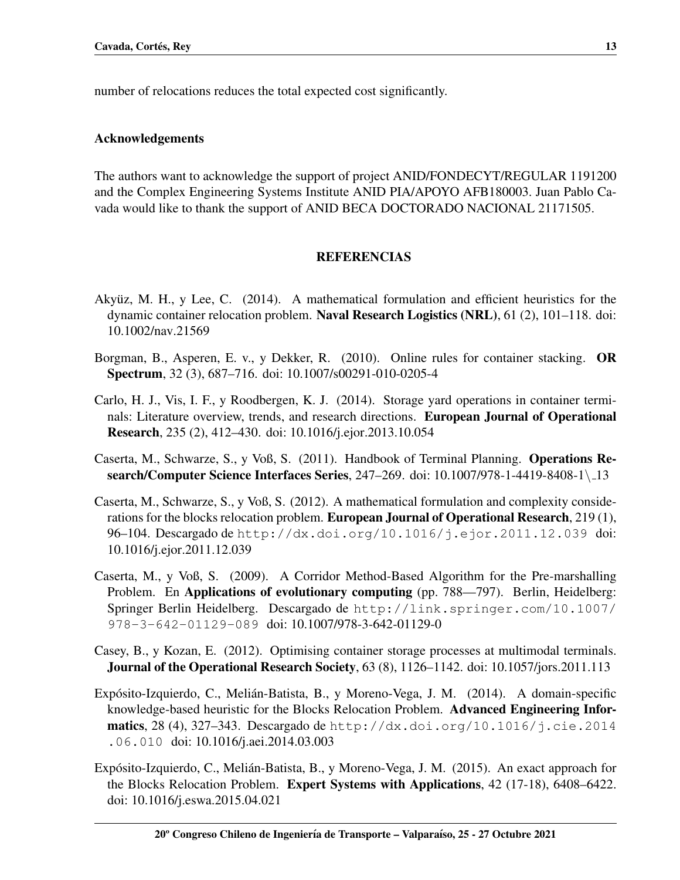number of relocations reduces the total expected cost significantly.

### Acknowledgements

The authors want to acknowledge the support of project ANID/FONDECYT/REGULAR 1191200 and the Complex Engineering Systems Institute ANID PIA/APOYO AFB180003. Juan Pablo Cavada would like to thank the support of ANID BECA DOCTORADO NACIONAL 21171505.

### REFERENCIAS

- <span id="page-12-4"></span>Akyüz, M. H., y Lee, C.  $(2014)$ . A mathematical formulation and efficient heuristics for the dynamic container relocation problem. Naval Research Logistics (NRL), 61 (2), 101–118. doi: 10.1002/nav.21569
- <span id="page-12-0"></span>Borgman, B., Asperen, E. v., y Dekker, R. (2010). Online rules for container stacking. OR Spectrum, 32 (3), 687–716. doi: 10.1007/s00291-010-0205-4
- <span id="page-12-6"></span>Carlo, H. J., Vis, I. F., y Roodbergen, K. J. (2014). Storage yard operations in container terminals: Literature overview, trends, and research directions. European Journal of Operational Research, 235 (2), 412–430. doi: 10.1016/j.ejor.2013.10.054
- <span id="page-12-5"></span>Caserta, M., Schwarze, S., y Voß, S. (2011). Handbook of Terminal Planning. Operations Research/Computer Science Interfaces Series, 247–269. doi: 10.1007/978-1-4419-8408-1\ 13
- <span id="page-12-2"></span>Caserta, M., Schwarze, S., y Voß, S. (2012). A mathematical formulation and complexity considerations for the blocks relocation problem. **European Journal of Operational Research**, 219(1), 96–104. Descargado de <http://dx.doi.org/10.1016/j.ejor.2011.12.039> doi: 10.1016/j.ejor.2011.12.039
- <span id="page-12-7"></span>Caserta, M., y Voß, S. (2009). A Corridor Method-Based Algorithm for the Pre-marshalling Problem. En Applications of evolutionary computing (pp. 788—797). Berlin, Heidelberg: Springer Berlin Heidelberg. Descargado de [http://link.springer.com/10.1007/](http://link.springer.com/10.1007/978-3-642-01129-089) [978-3-642-01129-089](http://link.springer.com/10.1007/978-3-642-01129-089) doi: 10.1007/978-3-642-01129-0
- <span id="page-12-1"></span>Casey, B., y Kozan, E. (2012). Optimising container storage processes at multimodal terminals. Journal of the Operational Research Society, 63 (8), 1126–1142. doi: 10.1057/jors.2011.113
- <span id="page-12-8"></span>Expósito-Izquierdo, C., Melián-Batista, B., y Moreno-Vega, J. M. (2014). A domain-specific knowledge-based heuristic for the Blocks Relocation Problem. Advanced Engineering Infor**matics**, 28 (4), 327–343. Descargado de [http://dx.doi.org/10.1016/j.cie.2014](http://dx.doi.org/10.1016/j.cie.2014.06.010) [.06.010](http://dx.doi.org/10.1016/j.cie.2014.06.010) doi: 10.1016/j.aei.2014.03.003
- <span id="page-12-3"></span>Expósito-Izquierdo, C., Melián-Batista, B., y Moreno-Vega, J. M. (2015). An exact approach for the Blocks Relocation Problem. Expert Systems with Applications, 42 (17-18), 6408–6422. doi: 10.1016/j.eswa.2015.04.021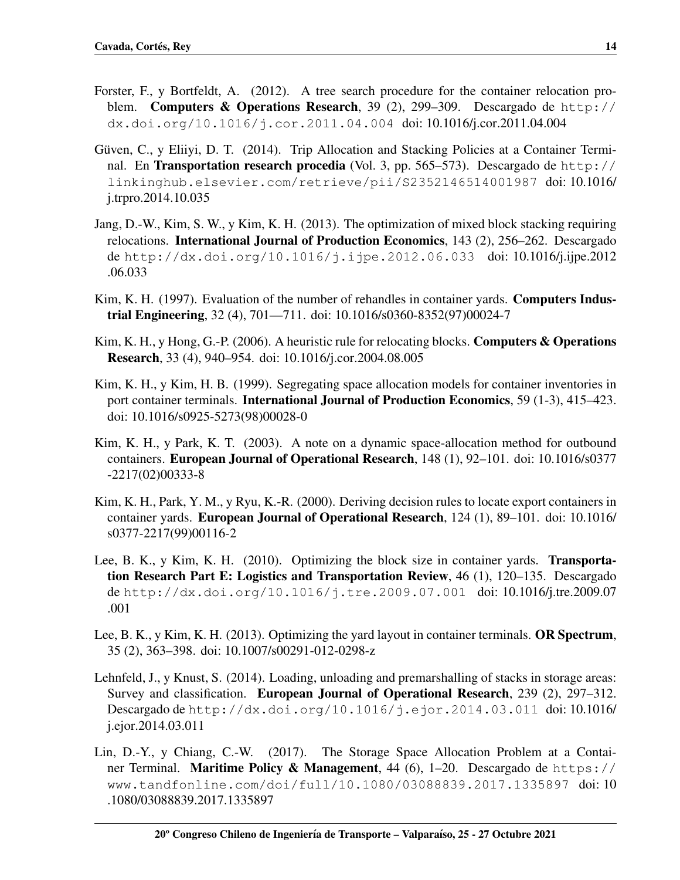- <span id="page-13-10"></span>Forster, F., y Bortfeldt, A. (2012). A tree search procedure for the container relocation problem. Computers & Operations Research, 39 (2), 299–309. Descargado de [http://](http://dx.doi.org/10.1016/j.cor.2011.04.004) [dx.doi.org/10.1016/j.cor.2011.04.004](http://dx.doi.org/10.1016/j.cor.2011.04.004) doi: 10.1016/j.cor.2011.04.004
- <span id="page-13-5"></span>Güven, C., y Eliiyi, D. T. (2014). Trip Allocation and Stacking Policies at a Container Terminal. En **Transportation research procedia** (Vol. 3, pp. 565–573). Descargado de [http://](http://linkinghub.elsevier.com/retrieve/pii/S2352146514001987) [linkinghub.elsevier.com/retrieve/pii/S2352146514001987](http://linkinghub.elsevier.com/retrieve/pii/S2352146514001987) doi: 10.1016/ j.trpro.2014.10.035
- <span id="page-13-0"></span>Jang, D.-W., Kim, S. W., y Kim, K. H. (2013). The optimization of mixed block stacking requiring relocations. International Journal of Production Economics, 143 (2), 256–262. Descargado de <http://dx.doi.org/10.1016/j.ijpe.2012.06.033> doi: 10.1016/j.ijpe.2012 .06.033
- <span id="page-13-11"></span>Kim, K. H. (1997). Evaluation of the number of rehandles in container yards. **Computers Indus**trial Engineering, 32 (4), 701—711. doi: 10.1016/s0360-8352(97)00024-7
- <span id="page-13-9"></span>Kim, K. H., y Hong, G.-P. (2006). A heuristic rule for relocating blocks. Computers & Operations Research, 33 (4), 940–954. doi: 10.1016/j.cor.2004.08.005
- <span id="page-13-2"></span>Kim, K. H., y Kim, H. B. (1999). Segregating space allocation models for container inventories in port container terminals. International Journal of Production Economics, 59 (1-3), 415–423. doi: 10.1016/s0925-5273(98)00028-0
- <span id="page-13-3"></span>Kim, K. H., y Park, K. T. (2003). A note on a dynamic space-allocation method for outbound containers. European Journal of Operational Research, 148 (1), 92–101. doi: 10.1016/s0377 -2217(02)00333-8
- <span id="page-13-4"></span>Kim, K. H., Park, Y. M., y Ryu, K.-R. (2000). Deriving decision rules to locate export containers in container yards. European Journal of Operational Research, 124 (1), 89–101. doi: 10.1016/ s0377-2217(99)00116-2
- <span id="page-13-7"></span>Lee, B. K., y Kim, K. H. (2010). Optimizing the block size in container yards. Transportation Research Part E: Logistics and Transportation Review, 46 (1), 120–135. Descargado de <http://dx.doi.org/10.1016/j.tre.2009.07.001> doi: 10.1016/j.tre.2009.07 .001
- <span id="page-13-8"></span>Lee, B. K., y Kim, K. H. (2013). Optimizing the yard layout in container terminals. OR Spectrum, 35 (2), 363–398. doi: 10.1007/s00291-012-0298-z
- <span id="page-13-6"></span>Lehnfeld, J., y Knust, S. (2014). Loading, unloading and premarshalling of stacks in storage areas: Survey and classification. European Journal of Operational Research, 239 (2), 297–312. Descargado de <http://dx.doi.org/10.1016/j.ejor.2014.03.011> doi: 10.1016/ j.ejor.2014.03.011
- <span id="page-13-1"></span>Lin, D.-Y., y Chiang, C.-W. (2017). The Storage Space Allocation Problem at a Container Terminal. Maritime Policy & Management, 44 (6), 1–20. Descargado de [https://](https://www.tandfonline.com/doi/full/10.1080/03088839.2017.1335897) [www.tandfonline.com/doi/full/10.1080/03088839.2017.1335897](https://www.tandfonline.com/doi/full/10.1080/03088839.2017.1335897) doi: 10 .1080/03088839.2017.1335897